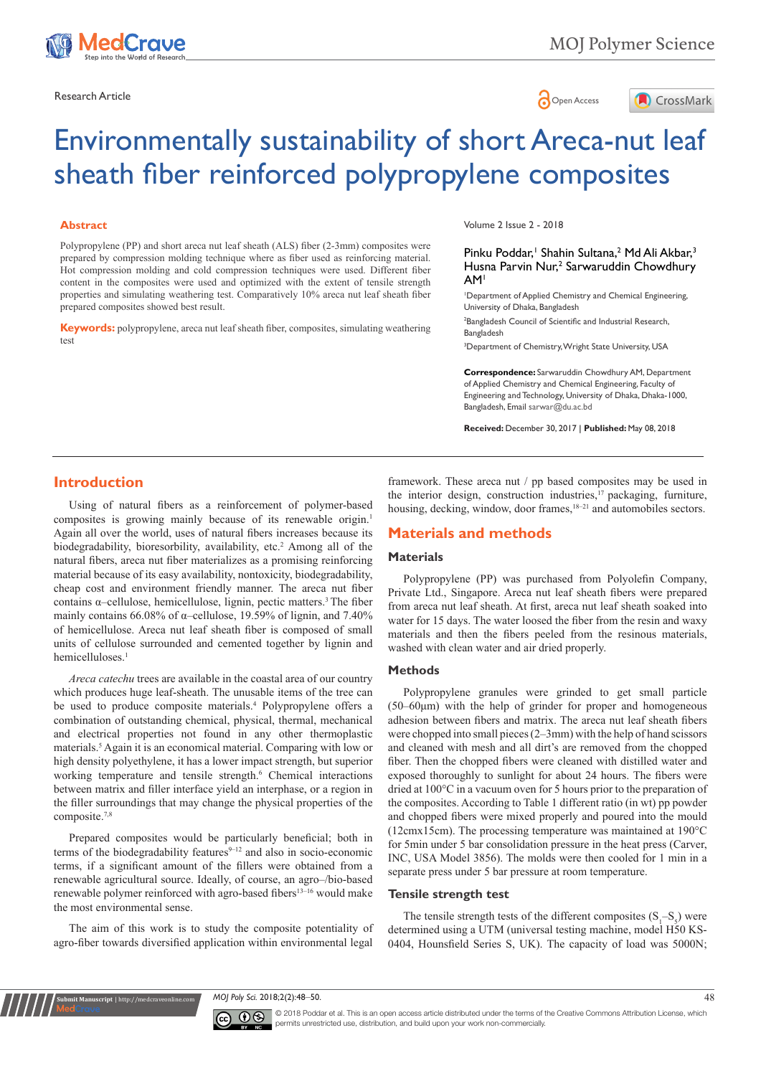



# Environmentally sustainability of short Areca-nut leaf sheath fiber reinforced polypropylene composites

#### **Abstract**

Polypropylene (PP) and short areca nut leaf sheath (ALS) fiber (2-3mm) composites were prepared by compression molding technique where as fiber used as reinforcing material. Hot compression molding and cold compression techniques were used. Different fiber content in the composites were used and optimized with the extent of tensile strength properties and simulating weathering test. Comparatively 10% areca nut leaf sheath fiber prepared composites showed best result.

**Keywords:** polypropylene, areca nut leaf sheath fiber, composites, simulating weathering test

Volume 2 Issue 2 - 2018

#### Pinku Poddar,<sup>1</sup> Shahin Sultana,<sup>2</sup> Md Ali Akbar,<sup>3</sup> Husna Parvin Nur,<sup>2</sup> Sarwaruddin Chowdhury AM1

1 Department of Applied Chemistry and Chemical Engineering, University of Dhaka, Bangladesh 2 Bangladesh Council of Scientific and Industrial Research,

Bangladesh

3 Department of Chemistry, Wright State University, USA

**Correspondence:** Sarwaruddin Chowdhury AM, Department of Applied Chemistry and Chemical Engineering, Faculty of Engineering and Technology, University of Dhaka, Dhaka-1000, Bangladesh, Email sarwar@du.ac.bd

**Received:** December 30, 2017 | **Published:** May 08, 2018

## **Introduction**

Using of natural fibers as a reinforcement of polymer-based composites is growing mainly because of its renewable origin.<sup>1</sup> Again all over the world, uses of natural fibers increases because its biodegradability, bioresorbility, availability, etc.<sup>2</sup> Among all of the natural fibers, areca nut fiber materializes as a promising reinforcing material because of its easy availability, nontoxicity, biodegradability, cheap cost and environment friendly manner. The areca nut fiber contains  $\alpha$ –cellulose, hemicellulose, lignin, pectic matters.<sup>3</sup> The fiber mainly contains 66.08% of α–cellulose, 19.59% of lignin, and 7.40% of hemicellulose. Areca nut leaf sheath fiber is composed of small units of cellulose surrounded and cemented together by lignin and hemicelluloses<sup>1</sup>

*Areca catechu* trees are available in the coastal area of our country which produces huge leaf-sheath. The unusable items of the tree can be used to produce composite materials.<sup>4</sup> Polypropylene offers a combination of outstanding chemical, physical, thermal, mechanical and electrical properties not found in any other thermoplastic materials.5 Again it is an economical material. Comparing with low or high density polyethylene, it has a lower impact strength, but superior working temperature and tensile strength.<sup>6</sup> Chemical interactions between matrix and filler interface yield an interphase, or a region in the filler surroundings that may change the physical properties of the composite.7,8

Prepared composites would be particularly beneficial; both in terms of the biodegradability features $9-12$  and also in socio-economic terms, if a significant amount of the fillers were obtained from a renewable agricultural source. Ideally, of course, an agro-/bio-based renewable polymer reinforced with agro-based fibers<sup>13-16</sup> would make the most environmental sense.

The aim of this work is to study the composite potentiality of agro-fiber towards diversified application within environmental legal

**it Manuscript** | http://medcraveo

framework. These areca nut / pp based composites may be used in the interior design, construction industries,<sup>17</sup> packaging, furniture, housing, decking, window, door frames,<sup>18-21</sup> and automobiles sectors.

## **Materials and methods**

## **Materials**

Polypropylene (PP) was purchased from Polyolefin Company, Private Ltd., Singapore. Areca nut leaf sheath fibers were prepared from areca nut leaf sheath. At first, areca nut leaf sheath soaked into water for 15 days. The water loosed the fiber from the resin and waxy materials and then the fibers peeled from the resinous materials, washed with clean water and air dried properly.

### **Methods**

Polypropylene granules were grinded to get small particle  $(50-60\mu m)$  with the help of grinder for proper and homogeneous adhesion between fibers and matrix. The areca nut leaf sheath fibers were chopped into small pieces (2–3mm) with the help of hand scissors and cleaned with mesh and all dirt's are removed from the chopped fiber. Then the chopped fibers were cleaned with distilled water and exposed thoroughly to sunlight for about 24 hours. The fibers were dried at 100°C in a vacuum oven for 5 hours prior to the preparation of the composites. According to Table 1 different ratio (in wt) pp powder and chopped fibers were mixed properly and poured into the mould (12cmx15cm). The processing temperature was maintained at 190°C for 5min under 5 bar consolidation pressure in the heat press (Carver, INC, USA Model 3856). The molds were then cooled for 1 min in a separate press under 5 bar pressure at room temperature.

#### **Tensile strength test**

The tensile strength tests of the different composites  $(S_1-S_5)$  were determined using a UTM (universal testing machine, model H50 KS-0404, Hounsfield Series S, UK). The capacity of load was 5000N;

*MOJ Poly Sci.* 2018;2(2):48‒50. 48



© 2018 Poddar et al. This is an open access article distributed under the terms of the [Creative Commons Attribution License,](https://creativecommons.org/licenses/by-nc/4.0/) which permits unrestricted use, distribution, and build upon your work non-commercially.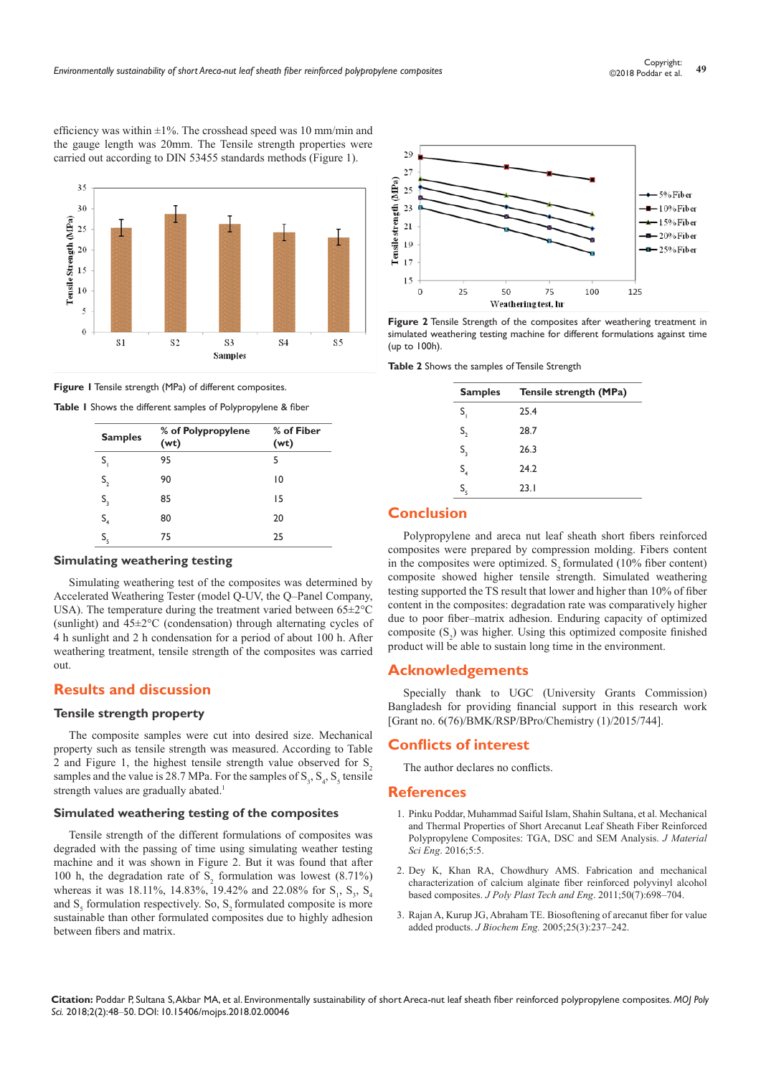efficiency was within  $\pm 1\%$ . The crosshead speed was 10 mm/min and the gauge length was 20mm. The Tensile strength properties were carried out according to DIN 53455 standards methods (Figure 1).



**Figure 1** Tensile strength (MPa) of different composites.

|  |  |  |  |  |  | Table I Shows the different samples of Polypropylene & fiber |  |
|--|--|--|--|--|--|--------------------------------------------------------------|--|
|--|--|--|--|--|--|--------------------------------------------------------------|--|

| <b>Samples</b> | % of Polypropylene<br>(wt) | % of Fiber<br>(wt) |
|----------------|----------------------------|--------------------|
| S,             | 95                         | 5                  |
| S <sub>2</sub> | 90                         | 10                 |
| $S_3$          | 85                         | 15                 |
| S <sub>4</sub> | 80                         | 20                 |
| S,             | 75                         | 25                 |

#### **Simulating weathering testing**

Simulating weathering test of the composites was determined by Accelerated Weathering Tester (model Q-UV, the Q-Panel Company, USA). The temperature during the treatment varied between 65±2°C (sunlight) and 45±2°C (condensation) through alternating cycles of 4 h sunlight and 2 h condensation for a period of about 100 h. After weathering treatment, tensile strength of the composites was carried out.

## **Results and discussion**

### **Tensile strength property**

The composite samples were cut into desired size. Mechanical property such as tensile strength was measured. According to Table 2 and Figure 1, the highest tensile strength value observed for  $S<sub>2</sub>$ samples and the value is 28.7 MPa. For the samples of  $S_3$ ,  $S_4$ ,  $S_5$  tensile strength values are gradually abated.<sup>1</sup>

#### **Simulated weathering testing of the composites**

Tensile strength of the different formulations of composites was degraded with the passing of time using simulating weather testing machine and it was shown in Figure 2. But it was found that after 100 h, the degradation rate of  $S_2$  formulation was lowest (8.71%) whereas it was 18.11%, 14.83%, 19.42% and 22.08% for  $S_1$ ,  $S_3$ ,  $S_4$ and  $S_5$  formulation respectively. So,  $S_2$  formulated composite is more sustainable than other formulated composites due to highly adhesion between fibers and matrix.



**Figure 2** Tensile Strength of the composites after weathering treatment in simulated weathering testing machine for different formulations against time (up to 100h).

**Table 2** Shows the samples of Tensile Strength

| <b>Samples</b>                       | Tensile strength (MPa) |
|--------------------------------------|------------------------|
| S,                                   | 25.4                   |
| $S_{2}$                              | 28.7                   |
| $S_3$                                | 26.3                   |
| $\mathsf{S}_{\scriptscriptstyle{4}}$ | 24.2                   |
| S,                                   | 23.1                   |

## **Conclusion**

Polypropylene and areca nut leaf sheath short fibers reinforced composites were prepared by compression molding. Fibers content in the composites were optimized.  $S<sub>z</sub>$  formulated (10% fiber content) composite showed higher tensile strength. Simulated weathering testing supported the TS result that lower and higher than 10% of fiber content in the composites: degradation rate was comparatively higher due to poor fiber-matrix adhesion. Enduring capacity of optimized composite  $(S_2)$  was higher. Using this optimized composite finished product will be able to sustain long time in the environment.

## **Acknowledgements**

Specially thank to UGC (University Grants Commission) Bangladesh for providing financial support in this research work [Grant no. 6(76)/BMK/RSP/BPro/Chemistry (1)/2015/744].

#### **Conflicts of interest**

The author declares no conflicts.

#### **References**

- 1. Pinku Poddar, Muhammad Saiful Islam, Shahin Sultana, et al. Mechanical and Thermal Properties of Short Arecanut Leaf Sheath Fiber Reinforced Polypropylene Composites: TGA, DSC and SEM Analysis. *J Material Sci Eng*. 2016;5:5.
- 2. [Dey K, Khan RA, Chowdhury AMS. Fabrication and mechanical](https://www.tandfonline.com/doi/abs/10.1080/03602559.2010.551390)  [characterization of calcium alginate fiber reinforced polyvinyl alcohol](https://www.tandfonline.com/doi/abs/10.1080/03602559.2010.551390)  based composites. *[J Poly Plast Tech and Eng](https://www.tandfonline.com/doi/abs/10.1080/03602559.2010.551390).* 2011;50(7):698-704.
- 3. [Rajan A, Kurup JG, Abraham TE. Biosoftening of arecanut fiber for value](https://www.sciencedirect.com/science/article/pii/S1369703X05001932)  added products. *J Biochem Eng.* [2005;25\(3\):237‒242.](https://www.sciencedirect.com/science/article/pii/S1369703X05001932)